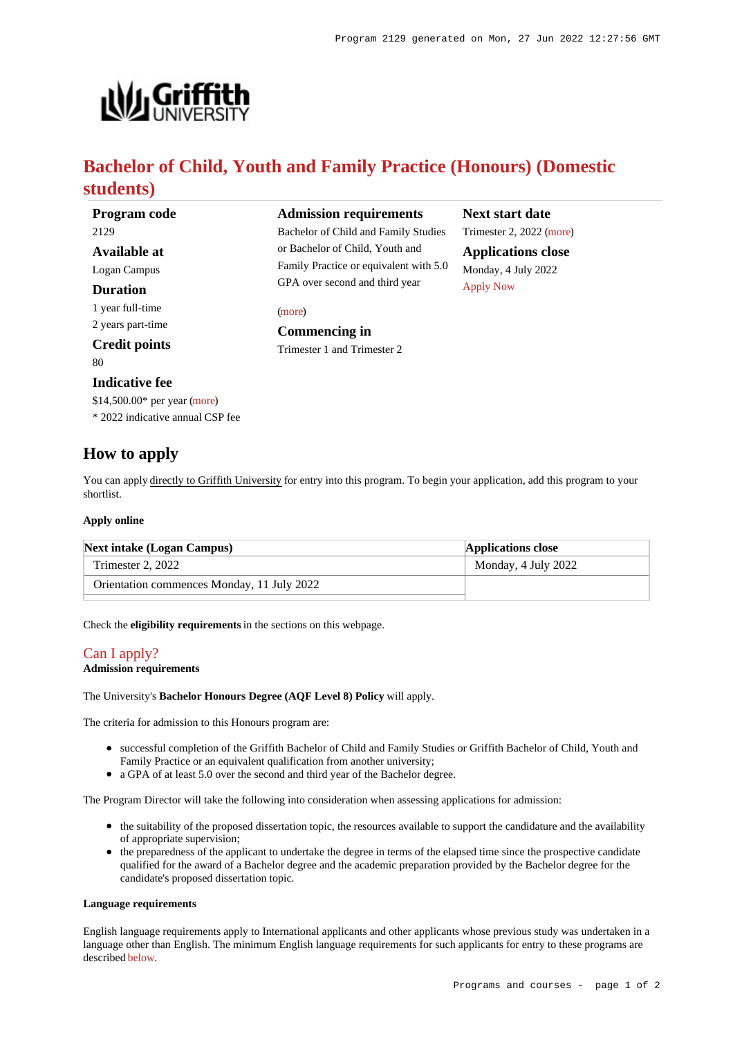

# **Bachelor of Child, Youth and Family Practice (Honours) (Domestic students)**

| <b>Program code</b>              | <b>Admission requirements</b>                                                                               | <b>Next start date</b>                                               |
|----------------------------------|-------------------------------------------------------------------------------------------------------------|----------------------------------------------------------------------|
| 2129                             | Bachelor of Child and Family Studies                                                                        | Trimester 2, 2022 (more)                                             |
| Available at                     | or Bachelor of Child, Youth and<br>Family Practice or equivalent with 5.0<br>GPA over second and third year | <b>Applications close</b><br>Monday, 4 July 2022<br><b>Apply Now</b> |
| Logan Campus                     |                                                                                                             |                                                                      |
| Duration                         |                                                                                                             |                                                                      |
| 1 year full-time                 | (more)<br><b>Commencing in</b><br>Trimester 1 and Trimester 2                                               |                                                                      |
| 2 years part-time                |                                                                                                             |                                                                      |
| <b>Credit points</b>             |                                                                                                             |                                                                      |
| 80.                              |                                                                                                             |                                                                      |
| <b>Indicative fee</b>            |                                                                                                             |                                                                      |
| \$14,500.00* per year (more)     |                                                                                                             |                                                                      |
| * 2022 indicative annual CSP fee |                                                                                                             |                                                                      |
|                                  |                                                                                                             |                                                                      |

# **How to apply**

You can apply directly to Griffith University for entry into this program. To begin your application, add this program to your shortlist.

### **Apply online**

| <b>Next intake (Logan Campus)</b>          | <b>Applications close</b> |  |
|--------------------------------------------|---------------------------|--|
| Trimester 2, 2022                          | Monday, 4 July 2022       |  |
| Orientation commences Monday, 11 July 2022 |                           |  |

Check the **eligibility requirements** in the sections on this webpage.

## [Can I apply?](https://www148.griffith.edu.au/programs-courses/Program/2129/HowToApply/Domestic#can-i-apply)

### **Admission requirements**

The University's **Bachelor Honours Degree (AQF Level 8) Policy** will apply.

The criteria for admission to this Honours program are:

- successful completion of the Griffith Bachelor of Child and Family Studies or Griffith Bachelor of Child, Youth and Family Practice or an equivalent qualification from another university;
- a GPA of at least 5.0 over the second and third year of the Bachelor degree.

The Program Director will take the following into consideration when assessing applications for admission:

- the suitability of the proposed dissertation topic, the resources available to support the candidature and the availability of appropriate supervision;
- the preparedness of the applicant to undertake the degree in terms of the elapsed time since the prospective candidate qualified for the award of a Bachelor degree and the academic preparation provided by the Bachelor degree for the candidate's proposed dissertation topic.

#### **Language requirements**

English language requirements apply to International applicants and other applicants whose previous study was undertaken in a language other than English. The minimum English language requirements for such applicants for entry to these programs are described [below](https://www148.griffith.edu.au/programs-courses/Program/2129/HowToApply/Domestic#language).